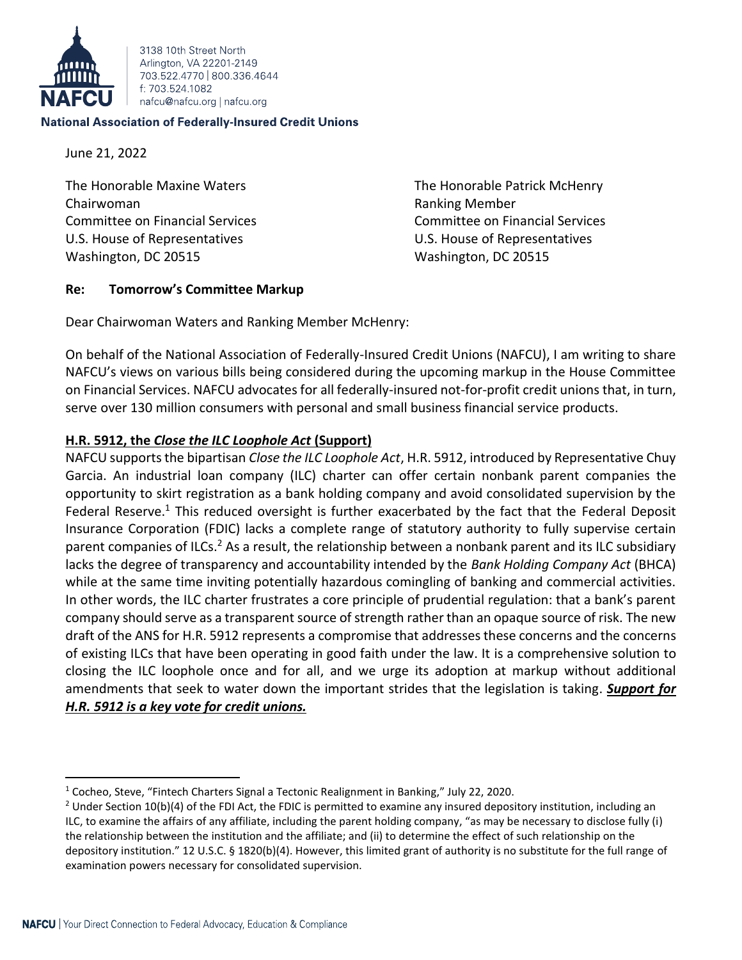

3138 10th Street North Arlington, VA 22201-2149 703 522 4770 800 336 4644 f: 703 524 1082 nafcu@nafcu.org | nafcu.org

#### **National Association of Federally-Insured Credit Unions**

June 21, 2022

The Honorable Maxine Waters The Honorable Patrick McHenry Chairwoman Ranking Member Committee on Financial Services Committee on Financial Services U.S. House of Representatives U.S. House of Representatives Washington, DC 20515 Washington, DC 20515

## **Re: Tomorrow's Committee Markup**

Dear Chairwoman Waters and Ranking Member McHenry:

On behalf of the National Association of Federally-Insured Credit Unions (NAFCU), I am writing to share NAFCU's views on various bills being considered during the upcoming markup in the House Committee on Financial Services. NAFCU advocates for all federally-insured not-for-profit credit unions that, in turn, serve over 130 million consumers with personal and small business financial service products.

# **H.R. 5912, the** *Close the ILC Loophole Act* **(Support)**

NAFCU supports the bipartisan *Close the ILC Loophole Act*, H.R. 5912, introduced by Representative Chuy Garcia. An industrial loan company (ILC) charter can offer certain nonbank parent companies the opportunity to skirt registration as a bank holding company and avoid consolidated supervision by the Federal Reserve.<sup>1</sup> This reduced oversight is further exacerbated by the fact that the Federal Deposit Insurance Corporation (FDIC) lacks a complete range of statutory authority to fully supervise certain parent companies of ILCs.<sup>2</sup> As a result, the relationship between a nonbank parent and its ILC subsidiary lacks the degree of transparency and accountability intended by the *Bank Holding Company Act* (BHCA) while at the same time inviting potentially hazardous comingling of banking and commercial activities. In other words, the ILC charter frustrates a core principle of prudential regulation: that a bank's parent company should serve as a transparent source of strength rather than an opaque source of risk. The new draft of the ANS for H.R. 5912 represents a compromise that addresses these concerns and the concerns of existing ILCs that have been operating in good faith under the law. It is a comprehensive solution to closing the ILC loophole once and for all, and we urge its adoption at markup without additional amendments that seek to water down the important strides that the legislation is taking. *Support for H.R. 5912 is a key vote for credit unions.*

<sup>1</sup> Cocheo, Steve, "Fintech Charters Signal a Tectonic Realignment in Banking," July 22, 2020.

<sup>&</sup>lt;sup>2</sup> Under Section 10(b)(4) of the FDI Act, the FDIC is permitted to examine any insured depository institution, including an ILC, to examine the affairs of any affiliate, including the parent holding company, "as may be necessary to disclose fully (i) the relationship between the institution and the affiliate; and (ii) to determine the effect of such relationship on the depository institution." 12 U.S.C. § 1820(b)(4). However, this limited grant of authority is no substitute for the full range of examination powers necessary for consolidated supervision.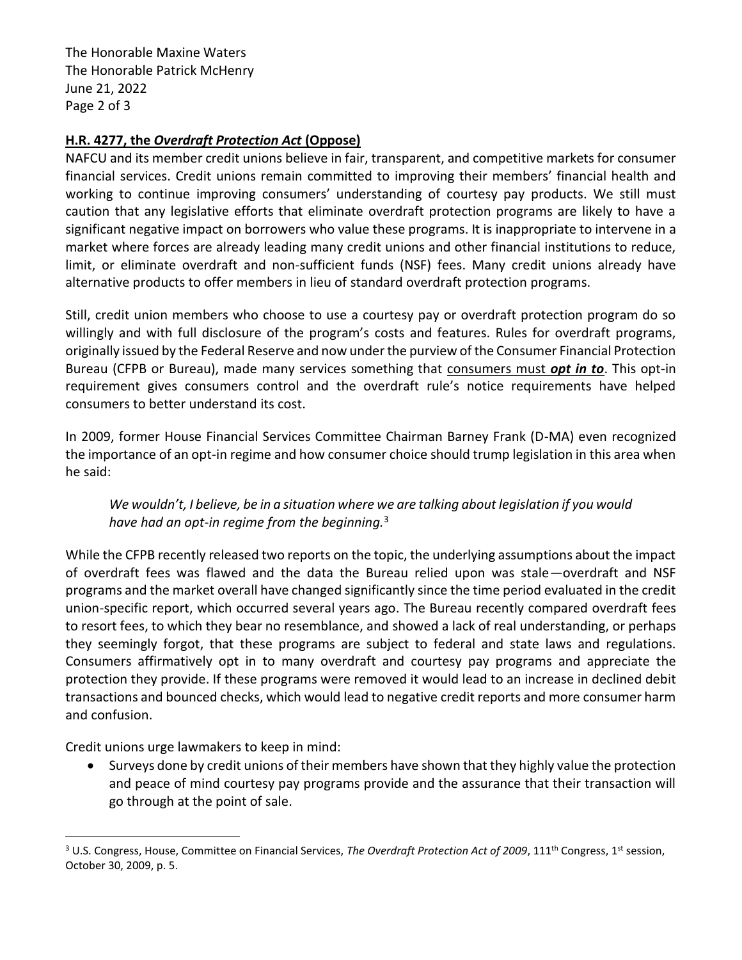The Honorable Maxine Waters The Honorable Patrick McHenry June 21, 2022 Page 2 of 3

## **H.R. 4277, the** *Overdraft Protection Act* **(Oppose)**

NAFCU and its member credit unions believe in fair, transparent, and competitive markets for consumer financial services. Credit unions remain committed to improving their members' financial health and working to continue improving consumers' understanding of courtesy pay products. We still must caution that any legislative efforts that eliminate overdraft protection programs are likely to have a significant negative impact on borrowers who value these programs. It is inappropriate to intervene in a market where forces are already leading many credit unions and other financial institutions to reduce, limit, or eliminate overdraft and non-sufficient funds (NSF) fees. Many credit unions already have alternative products to offer members in lieu of standard overdraft protection programs.

Still, credit union members who choose to use a courtesy pay or overdraft protection program do so willingly and with full disclosure of the program's costs and features. Rules for overdraft programs, originally issued by the Federal Reserve and now under the purview of the Consumer Financial Protection Bureau (CFPB or Bureau), made many services something that consumers must *opt in to*. This opt-in requirement gives consumers control and the overdraft rule's notice requirements have helped consumers to better understand its cost.

In 2009, former House Financial Services Committee Chairman Barney Frank (D-MA) even recognized the importance of an opt-in regime and how consumer choice should trump legislation in this area when he said:

*We wouldn't, I believe, be in a situation where we are talking about legislation if you would have had an opt-in regime from the beginning.*<sup>3</sup>

While the CFPB recently released two reports on the topic, the underlying assumptions about the impact of overdraft fees was flawed and the data the Bureau relied upon was stale—overdraft and NSF programs and the market overall have changed significantly since the time period evaluated in the credit union-specific report, which occurred several years ago. The Bureau recently compared overdraft fees to resort fees, to which they bear no resemblance, and showed a lack of real understanding, or perhaps they seemingly forgot, that these programs are subject to federal and state laws and regulations. Consumers affirmatively opt in to many overdraft and courtesy pay programs and appreciate the protection they provide. If these programs were removed it would lead to an increase in declined debit transactions and bounced checks, which would lead to negative credit reports and more consumer harm and confusion.

Credit unions urge lawmakers to keep in mind:

• Surveys done by credit unions of their members have shown that they highly value the protection and peace of mind courtesy pay programs provide and the assurance that their transaction will go through at the point of sale.

<sup>&</sup>lt;sup>3</sup> U.S. Congress, House, Committee on Financial Services, *The Overdraft Protection Act of 2009*, 111<sup>th</sup> Congress, 1<sup>st</sup> session, October 30, 2009, p. 5.